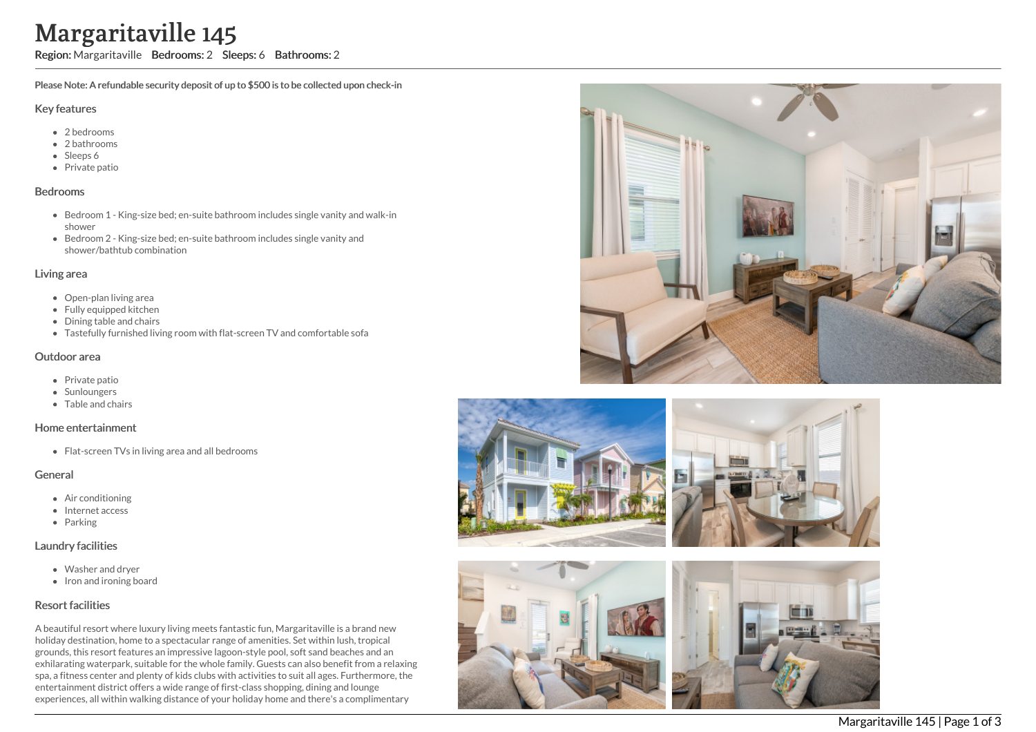# Margaritaville 145

Region: Margaritaville Bedrooms: 2 Sleeps: 6 Bathrooms: 2

Please Note: A refundable security deposit of up to \$500 is to be collected upon check-in

#### Key features

- 2 b e d r o o m s
- 2 bathrooms
- Sleeps 6
- Private patio

#### **Bedrooms**

- Bedroom 1 King-size bed; en-suite bathroom includes single vanity and walk-in s h o w e r
- Bedroom 2 King-size bed; en-suite bathroom includes single vanity and shower/bathtub combination

#### Living area

- Open-plan living area
- Fully equipped kitchen
- Dining table and chairs
- Tastefully furnished living room with flat-screen TV and comfortable sofa

#### Outdoor area

- Private patio
- **Sunloungers**
- T a ble a n d c h air s

# Home entertainment

Flat-screen TVs in living area and all bedrooms

# General

- Air c o n ditio nin g
- Internet access
- Parking

# Laundry facilities

- Washer and dryer
- Iron and ironing board

# Resort facilities

A beautiful resort where luxury living meets fantastic fun, Margaritaville is a brand new holiday destination, home to a spectacular range of amenities. Set within lush, tropical grounds, this resort features an impressive lagoon-style pool, soft sand beaches and an exhilarating waterpark, suitable for the whole family. Guests can also benefit from a relaxing spa, a fitness center and plenty of kids clubs with activities to suit all ages. Furthermore, the entertainment district offers a wide range of first-class shopping, dining and lounge experiences, all within walking distance of your holiday home and there's a complimentary









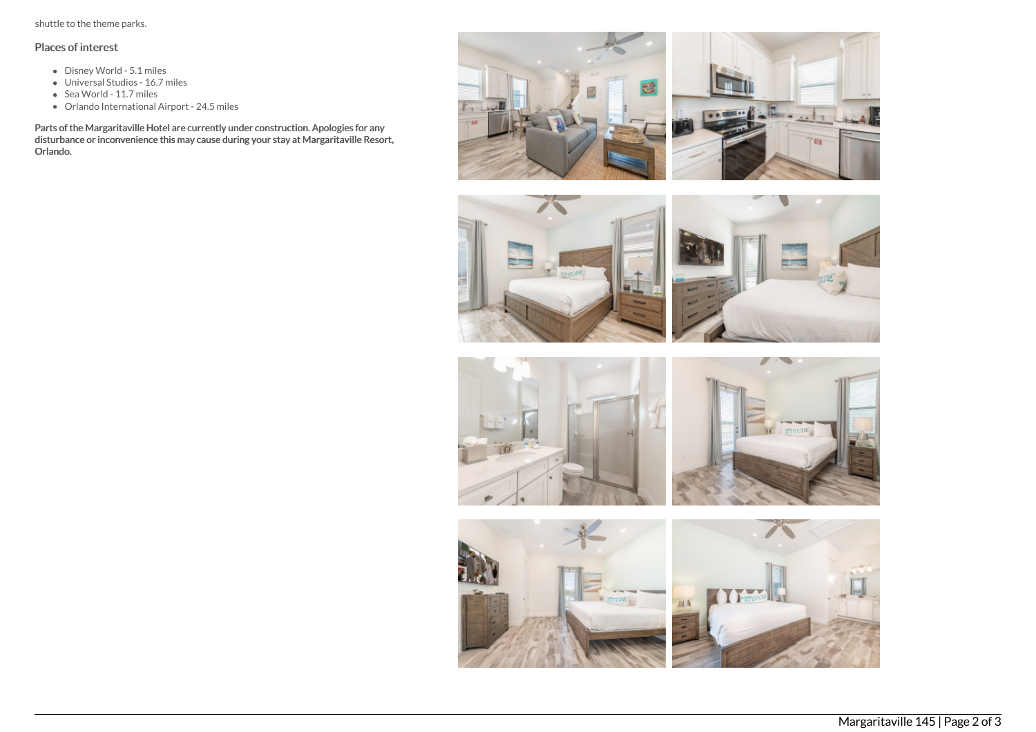shuttle to the theme parks.

# Places of interest

- Disney World 5.1 miles
- Universal Studios 16.7 miles
- Sea World 11.7 miles
- Orlando International Airport 24.5 miles

Parts of the Margaritaville Hotel are currently under construction. Apologies for any disturbance or inconvenience this may cause during your stay at Margaritaville Resort, Orlando.